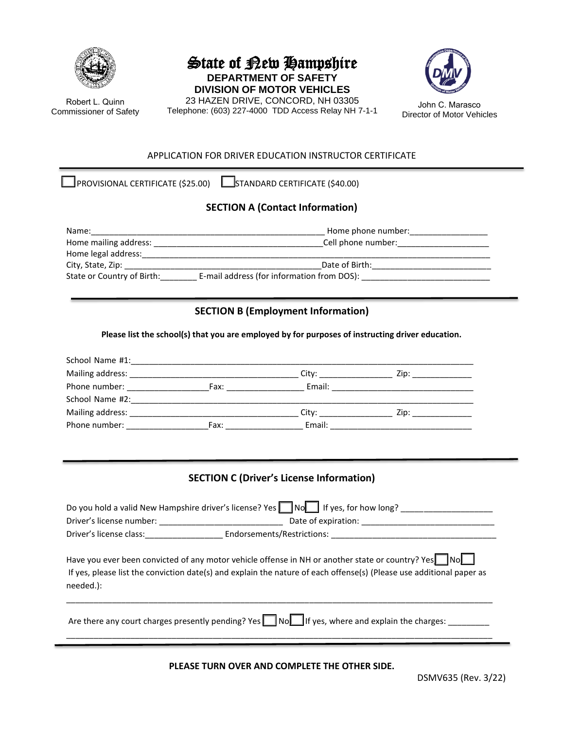

Robert L. Quinn Commissioner of Safety

# State of Rew Hampshire **DEPARTMENT OF SAFETY**

**DIVISION OF MOTOR VEHICLES** 23 HAZEN DRIVE, CONCORD, NH 03305 23 HAZEN DRIVE, CONCORD, NH 03303<br>Telephone: (603) 227-4000 TDD Access Relay NH 7-1-1 Director of Motor Veh



#### APPLICATION FOR DRIVER EDUCATION INSTRUCTOR CERTIFICATE

 $\Box$ PROVISIONAL CERTIFICATE (\$25.00)  $\Box$ STANDARD CERTIFICATE (\$40.00)

### **SECTION A (Contact Information)**

| Name:                      | Home phone number:                         |  |
|----------------------------|--------------------------------------------|--|
| Home mailing address:      | Cell phone number:                         |  |
| Home legal address:        |                                            |  |
| City, State, Zip:          | Date of Birth:                             |  |
| State or Country of Birth: | E-mail address (for information from DOS): |  |

### **SECTION B (Employment Information)**

**Please list the school(s) that you are employed by for purposes of instructing driver education.** 

| School Name #1:  |      |        |      |  |
|------------------|------|--------|------|--|
| Mailing address: |      | City:  |      |  |
| Phone number:    | Fax: | Email: |      |  |
| School Name #2:  |      |        |      |  |
| Mailing address: |      | City:  | Zip: |  |
| Phone number:    | Fax: | Email: |      |  |

## **SECTION C (Driver's License Information)**

| Do you hold a valid New Hampshire driver's license? Yes $\Box$ No If yes, for how long?                                                                                                                                                  |                            |  |  |  |
|------------------------------------------------------------------------------------------------------------------------------------------------------------------------------------------------------------------------------------------|----------------------------|--|--|--|
|                                                                                                                                                                                                                                          |                            |  |  |  |
| Driver's license class:                                                                                                                                                                                                                  | Endorsements/Restrictions: |  |  |  |
| Have you ever been convicted of any motor vehicle offense in NH or another state or country? Yes No<br>If yes, please list the conviction date(s) and explain the nature of each offense(s) (Please use additional paper as<br>needed.): |                            |  |  |  |
| Are there any court charges presently pending? Yes NoU If yes, where and explain the charges:                                                                                                                                            |                            |  |  |  |

**PLEASE TURN OVER AND COMPLETE THE OTHER SIDE.**